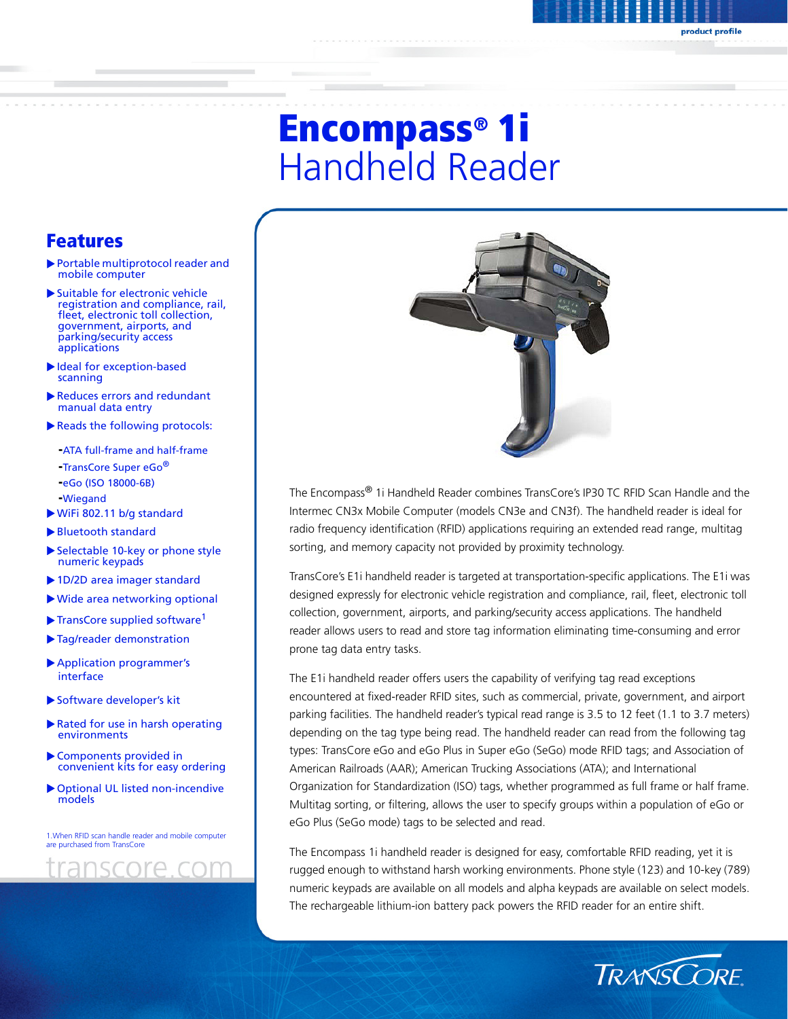# Encompass® 1i Handheld Reader

# Features

- $\blacktriangleright$  Portable multiprotocol reader and mobile computer
- $\blacktriangleright$  Suitable for electronic vehicle registration and compliance, rail, fleet, electronic toll collection, government, airports, and parking/security access applications
- Ideal for exception-based scanning
- Reduces errors and redundant manual data entry
- $\blacktriangleright$  Reads the following protocols:
	- **-**ATA full-frame and half-frame
	- **-**TransCore Super eGo®
	- **-**eGo (ISO 18000-6B)
	- **-**Wiegand
- $\triangleright$  WiFi 802.11 b/g standard
- $\blacktriangleright$  Bluetooth standard
- $\blacktriangleright$  Selectable 10-key or phone style numeric keypads
- 1D/2D area imager standard
- $\blacktriangleright$  Wide area networking optional
- $\blacktriangleright$  TransCore supplied software<sup>1</sup>
- $\blacktriangleright$  Tag/reader demonstration
- **Application programmer's** interface
- Software developer's kit
- $\blacktriangleright$  Rated for use in harsh operating environments
- $\blacktriangleright$  Components provided in convenient kits for easy ordering
- $\triangleright$  Optional UL listed non-incendive models

1.When RFID scan handle reader and mobile computer are purchased from TransCore





The Encompass® 1i Handheld Reader combines TransCore's IP30 TC RFID Scan Handle and the Intermec CN3x Mobile Computer (models CN3e and CN3f). The handheld reader is ideal for radio frequency identification (RFID) applications requiring an extended read range, multitag sorting, and memory capacity not provided by proximity technology.

TransCore's E1i handheld reader is targeted at transportation-specific applications. The E1i was designed expressly for electronic vehicle registration and compliance, rail, fleet, electronic toll collection, government, airports, and parking/security access applications. The handheld reader allows users to read and store tag information eliminating time-consuming and error prone tag data entry tasks.

The E1i handheld reader offers users the capability of verifying tag read exceptions encountered at fixed-reader RFID sites, such as commercial, private, government, and airport parking facilities. The handheld reader's typical read range is 3.5 to 12 feet (1.1 to 3.7 meters) depending on the tag type being read. The handheld reader can read from the following tag types: TransCore eGo and eGo Plus in Super eGo (SeGo) mode RFID tags; and Association of American Railroads (AAR); American Trucking Associations (ATA); and International Organization for Standardization (ISO) tags, whether programmed as full frame or half frame. Multitag sorting, or filtering, allows the user to specify groups within a population of eGo or eGo Plus (SeGo mode) tags to be selected and read.

The Encompass 1i handheld reader is designed for easy, comfortable RFID reading, yet it is rugged enough to withstand harsh working environments. Phone style (123) and 10-key (789) numeric keypads are available on all models and alpha keypads are available on select models. The rechargeable lithium-ion battery pack powers the RFID reader for an entire shift.